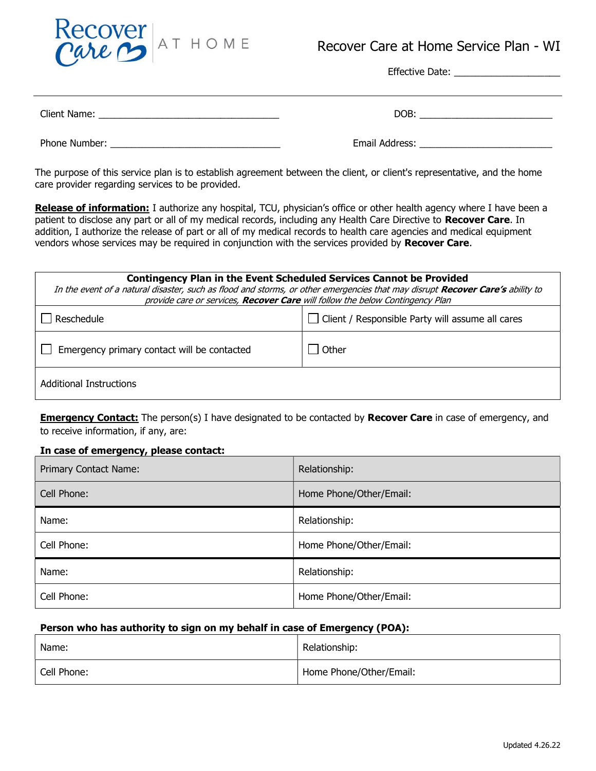

# Recover Care at Home Service Plan - WI

Effective Date: \_\_\_\_\_\_\_\_\_\_\_\_\_\_\_\_\_\_\_\_

| LILCUIVE DUCT. |
|----------------|
|                |
|                |

The purpose of this service plan is to establish agreement between the client, or client's representative, and the home care provider regarding services to be provided.

Release of information: I authorize any hospital, TCU, physician's office or other health agency where I have been a patient to disclose any part or all of my medical records, including any Health Care Directive to Recover Care. In addition, I authorize the release of part or all of my medical records to health care agencies and medical equipment vendors whose services may be required in conjunction with the services provided by Recover Care.

| <b>Contingency Plan in the Event Scheduled Services Cannot be Provided</b><br>In the event of a natural disaster, such as flood and storms, or other emergencies that may disrupt Recover Care's ability to<br>provide care or services, Recover Care will follow the below Contingency Plan |                                                  |  |  |
|----------------------------------------------------------------------------------------------------------------------------------------------------------------------------------------------------------------------------------------------------------------------------------------------|--------------------------------------------------|--|--|
| Reschedule                                                                                                                                                                                                                                                                                   | Client / Responsible Party will assume all cares |  |  |
| Emergency primary contact will be contacted                                                                                                                                                                                                                                                  | Other                                            |  |  |
| Additional Instructions                                                                                                                                                                                                                                                                      |                                                  |  |  |

**Emergency Contact:** The person(s) I have designated to be contacted by Recover Care in case of emergency, and to receive information, if any, are:

### In case of emergency, please contact:

| Primary Contact Name: | Relationship:           |
|-----------------------|-------------------------|
| Cell Phone:           | Home Phone/Other/Email: |
| Name:                 | Relationship:           |
| Cell Phone:           | Home Phone/Other/Email: |
| Name:                 | Relationship:           |
| Cell Phone:           | Home Phone/Other/Email: |

### Person who has authority to sign on my behalf in case of Emergency (POA):

| Name:       | Relationship:           |
|-------------|-------------------------|
| Cell Phone: | Home Phone/Other/Email: |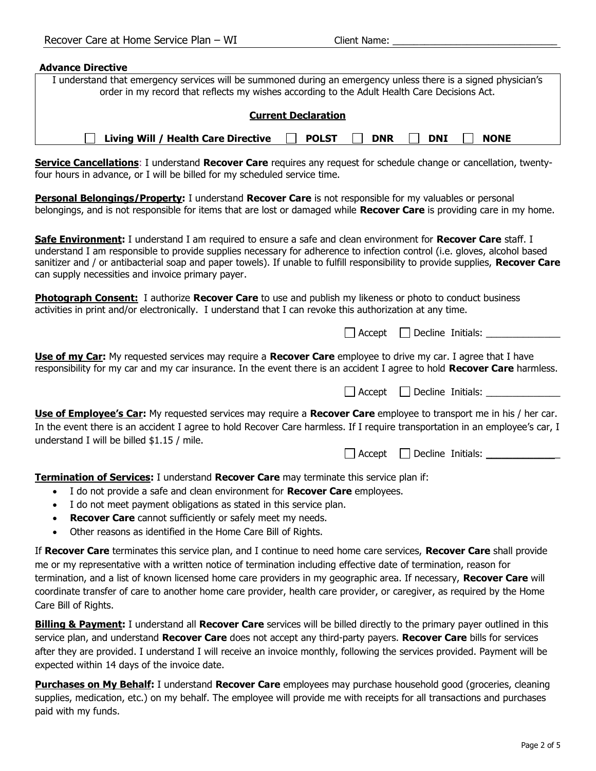#### Advance Directive

| I understand that emergency services will be summoned during an emergency unless there is a signed physician's<br>order in my record that reflects my wishes according to the Adult Health Care Decisions Act.                                                                                                                                                                                                                   |  |
|----------------------------------------------------------------------------------------------------------------------------------------------------------------------------------------------------------------------------------------------------------------------------------------------------------------------------------------------------------------------------------------------------------------------------------|--|
| <b>Current Declaration</b>                                                                                                                                                                                                                                                                                                                                                                                                       |  |
| Living Will / Health Care Directive<br><b>POLST</b><br><b>NONE</b><br><b>DNR</b><br><b>DNI</b>                                                                                                                                                                                                                                                                                                                                   |  |
| Service Cancellations: I understand Recover Care requires any request for schedule change or cancellation, twenty-<br>four hours in advance, or I will be billed for my scheduled service time.                                                                                                                                                                                                                                  |  |
| Personal Belongings/Property: I understand Recover Care is not responsible for my valuables or personal<br>belongings, and is not responsible for items that are lost or damaged while <b>Recover Care</b> is providing care in my home.                                                                                                                                                                                         |  |
| Safe Environment: I understand I am required to ensure a safe and clean environment for Recover Care staff. I<br>understand I am responsible to provide supplies necessary for adherence to infection control (i.e. gloves, alcohol based<br>sanitizer and / or antibacterial soap and paper towels). If unable to fulfill responsibility to provide supplies, Recover Care<br>can supply necessities and invoice primary payer. |  |
| Photograph Consent: I authorize Recover Care to use and publish my likeness or photo to conduct business<br>activities in print and/or electronically. I understand that I can revoke this authorization at any time.                                                                                                                                                                                                            |  |
| Decline Initials:<br>$\Box$ Accept                                                                                                                                                                                                                                                                                                                                                                                               |  |
| Use of my Car: My requested services may require a Recover Care employee to drive my car. I agree that I have<br>responsibility for my car and my car insurance. In the event there is an accident I agree to hold Recover Care harmless.                                                                                                                                                                                        |  |

 $\Box$  Accept  $\Box$  Decline Initials: Use of Employee's Car: My requested services may require a Recover Care employee to transport me in his / her car. In the event there is an accident I agree to hold Recover Care harmless. If I require transportation in an employee's car, I understand I will be billed \$1.15 / mile.

 $\Box$  Accept  $\Box$  Decline Initials:  $\Box$ 

**Termination of Services:** I understand **Recover Care** may terminate this service plan if:

- I do not provide a safe and clean environment for **Recover Care** employees.
- I do not meet payment obligations as stated in this service plan.
- Recover Care cannot sufficiently or safely meet my needs.
- Other reasons as identified in the Home Care Bill of Rights.

If Recover Care terminates this service plan, and I continue to need home care services, Recover Care shall provide me or my representative with a written notice of termination including effective date of termination, reason for termination, and a list of known licensed home care providers in my geographic area. If necessary, Recover Care will coordinate transfer of care to another home care provider, health care provider, or caregiver, as required by the Home Care Bill of Rights.

**Billing & Payment:** I understand all **Recover Care** services will be billed directly to the primary payer outlined in this service plan, and understand Recover Care does not accept any third-party payers. Recover Care bills for services after they are provided. I understand I will receive an invoice monthly, following the services provided. Payment will be expected within 14 days of the invoice date.

**Purchases on My Behalf:** I understand Recover Care employees may purchase household good (groceries, cleaning supplies, medication, etc.) on my behalf. The employee will provide me with receipts for all transactions and purchases paid with my funds.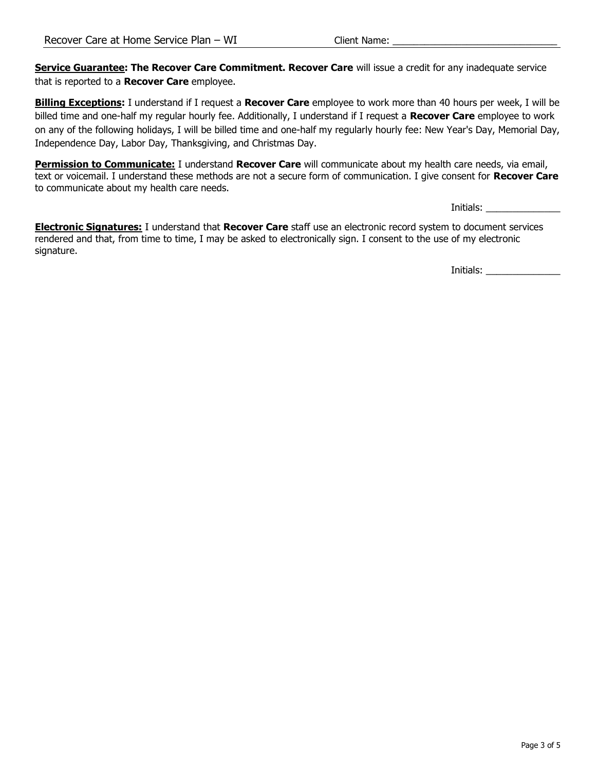Service Guarantee: The Recover Care Commitment. Recover Care will issue a credit for any inadequate service that is reported to a Recover Care employee.

**Billing Exceptions:** I understand if I request a Recover Care employee to work more than 40 hours per week, I will be billed time and one-half my regular hourly fee. Additionally, I understand if I request a Recover Care employee to work on any of the following holidays, I will be billed time and one-half my regularly hourly fee: New Year's Day, Memorial Day, Independence Day, Labor Day, Thanksgiving, and Christmas Day.

Permission to Communicate: I understand Recover Care will communicate about my health care needs, via email, text or voicemail. I understand these methods are not a secure form of communication. I give consent for Recover Care to communicate about my health care needs.

Initials:

Electronic Signatures: I understand that Recover Care staff use an electronic record system to document services rendered and that, from time to time, I may be asked to electronically sign. I consent to the use of my electronic signature.

Initials: \_\_\_\_\_\_\_\_\_\_\_\_\_\_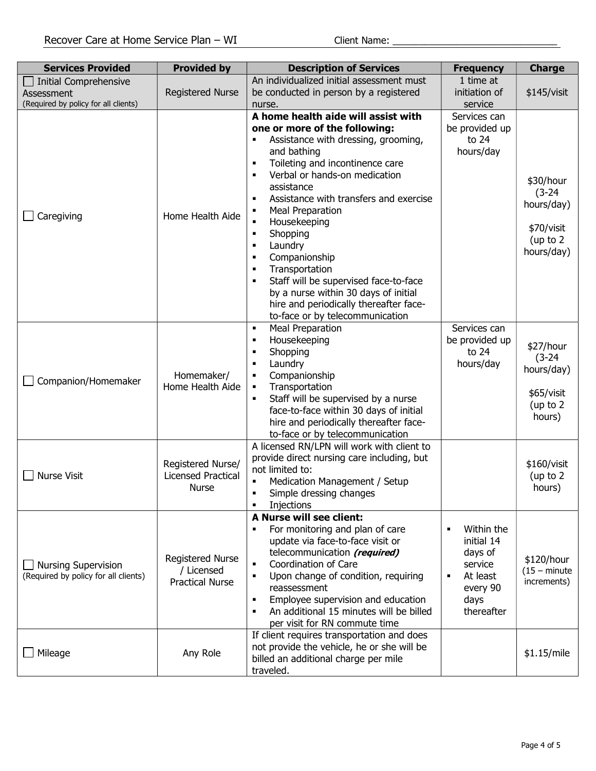| <b>Services Provided</b>                                                    | <b>Provided by</b>                                              | <b>Description of Services</b>                                                                                                                                                                                                                                                                                                                                                                                                                                                                                                                                                                                                                                              | <b>Frequency</b>                                                                                                                 | <b>Charge</b>                                                                 |
|-----------------------------------------------------------------------------|-----------------------------------------------------------------|-----------------------------------------------------------------------------------------------------------------------------------------------------------------------------------------------------------------------------------------------------------------------------------------------------------------------------------------------------------------------------------------------------------------------------------------------------------------------------------------------------------------------------------------------------------------------------------------------------------------------------------------------------------------------------|----------------------------------------------------------------------------------------------------------------------------------|-------------------------------------------------------------------------------|
| Initial Comprehensive<br>Assessment<br>(Required by policy for all clients) | <b>Registered Nurse</b>                                         | An individualized initial assessment must<br>be conducted in person by a registered<br>nurse.                                                                                                                                                                                                                                                                                                                                                                                                                                                                                                                                                                               | 1 time at<br>initiation of<br>service                                                                                            | \$145/visit                                                                   |
| Caregiving                                                                  | Home Health Aide                                                | A home health aide will assist with<br>one or more of the following:<br>Assistance with dressing, grooming,<br>$\blacksquare$<br>and bathing<br>Toileting and incontinence care<br>$\blacksquare$<br>Verbal or hands-on medication<br>$\blacksquare$<br>assistance<br>Assistance with transfers and exercise<br>$\blacksquare$<br><b>Meal Preparation</b><br>п<br>Housekeeping<br>$\blacksquare$<br>Shopping<br>$\blacksquare$<br>Laundry<br>$\blacksquare$<br>Companionship<br>٠<br>Transportation<br>٠<br>Staff will be supervised face-to-face<br>٠<br>by a nurse within 30 days of initial<br>hire and periodically thereafter face-<br>to-face or by telecommunication | Services can<br>be provided up<br>to 24<br>hours/day                                                                             | \$30/hour<br>$(3-24)$<br>hours/day)<br>\$70/visit<br>(up to $2$<br>hours/day) |
| Companion/Homemaker                                                         | Homemaker/<br>Home Health Aide                                  | <b>Meal Preparation</b><br>$\blacksquare$<br>Housekeeping<br>$\blacksquare$<br>Shopping<br>$\blacksquare$<br>Laundry<br>$\blacksquare$<br>Companionship<br>$\blacksquare$<br>Transportation<br>$\blacksquare$<br>Staff will be supervised by a nurse<br>$\blacksquare$<br>face-to-face within 30 days of initial<br>hire and periodically thereafter face-<br>to-face or by telecommunication                                                                                                                                                                                                                                                                               | Services can<br>be provided up<br>to 24<br>hours/day                                                                             | \$27/hour<br>$(3-24)$<br>hours/day)<br>\$65/visit<br>(up to $2$<br>hours)     |
| <b>Nurse Visit</b>                                                          | Registered Nurse/<br><b>Licensed Practical</b><br><b>Nurse</b>  | A licensed RN/LPN will work with client to<br>provide direct nursing care including, but<br>not limited to:<br>Medication Management / Setup<br>$\blacksquare$<br>Simple dressing changes<br>٠<br>Injections<br>٠                                                                                                                                                                                                                                                                                                                                                                                                                                                           |                                                                                                                                  | \$160/visit<br>(up to $2$<br>hours)                                           |
| <b>Nursing Supervision</b><br>(Required by policy for all clients)          | <b>Registered Nurse</b><br>/ Licensed<br><b>Practical Nurse</b> | A Nurse will see client:<br>For monitoring and plan of care<br>$\blacksquare$<br>update via face-to-face visit or<br>telecommunication (required)<br>Coordination of Care<br>$\blacksquare$<br>Upon change of condition, requiring<br>$\blacksquare$<br>reassessment<br>Employee supervision and education<br>$\blacksquare$<br>An additional 15 minutes will be billed<br>$\blacksquare$<br>per visit for RN commute time                                                                                                                                                                                                                                                  | Within the<br>$\blacksquare$<br>initial 14<br>days of<br>service<br>At least<br>$\blacksquare$<br>every 90<br>days<br>thereafter | \$120/hour<br>$(15 - minute)$<br>increments)                                  |
| Mileage                                                                     | Any Role                                                        | If client requires transportation and does<br>not provide the vehicle, he or she will be<br>billed an additional charge per mile<br>traveled.                                                                                                                                                                                                                                                                                                                                                                                                                                                                                                                               |                                                                                                                                  | \$1.15/mile                                                                   |